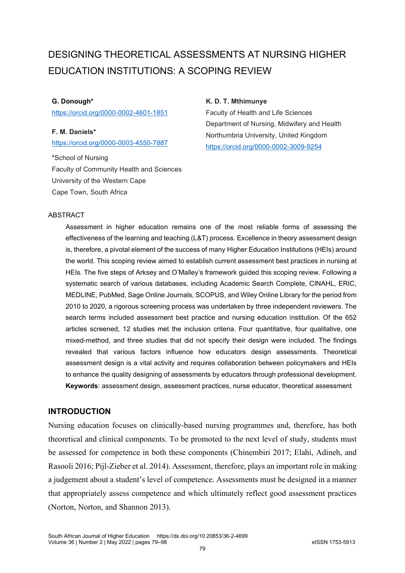# DESIGNING THEORETICAL ASSESSMENTS AT NURSING HIGHER EDUCATION INSTITUTIONS: A SCOPING REVIEW

# **G. Donough\***

<https://orcid.org/0000-0002-4601-1851>

**F. M. Daniels\*** <https://orcid.org/0000-0003-4550-7887>

\*School of Nursing Faculty of Community Health and Sciences University of the Western Cape Cape Town, South Africa

# **K. D. T. Mthimunye**

Faculty of Health and Life Sciences Department of Nursing, Midwifery and Health Northumbria University, United Kingdom <https://orcid.org/0000-0002-3009-9254>

## **ABSTRACT**

Assessment in higher education remains one of the most reliable forms of assessing the effectiveness of the learning and teaching (L&T) process. Excellence in theory assessment design is, therefore, a pivotal element of the success of many Higher Education Institutions (HEIs) around the world. This scoping review aimed to establish current assessment best practices in nursing at HEIs. The five steps of Arksey and O'Malley's framework guided this scoping review. Following a systematic search of various databases, including Academic Search Complete, CINAHL, ERIC, MEDLINE, PubMed, Sage Online Journals, SCOPUS, and Wiley Online Library for the period from 2010 to 2020, a rigorous screening process was undertaken by three independent reviewers. The search terms included assessment best practice and nursing education institution. Of the 652 articles screened, 12 studies met the inclusion criteria. Four quantitative, four qualitative, one mixed-method, and three studies that did not specify their design were included. The findings revealed that various factors influence how educators design assessments. Theoretical assessment design is a vital activity and requires collaboration between policymakers and HEIs to enhance the quality designing of assessments by educators through professional development. **Keywords**: assessment design, assessment practices, nurse educator, theoretical assessment

# **INTRODUCTION**

Nursing education focuses on clinically-based nursing programmes and, therefore, has both theoretical and clinical components. To be promoted to the next level of study, students must be assessed for competence in both these components (Chinembiri 2017; Elahi, Adineh, and Rasooli 2016; Pijl-Zieber et al. 2014). Assessment, therefore, plays an important role in making a judgement about a student's level of competence. Assessments must be designed in a manner that appropriately assess competence and which ultimately reflect good assessment practices (Norton, Norton, and Shannon 2013).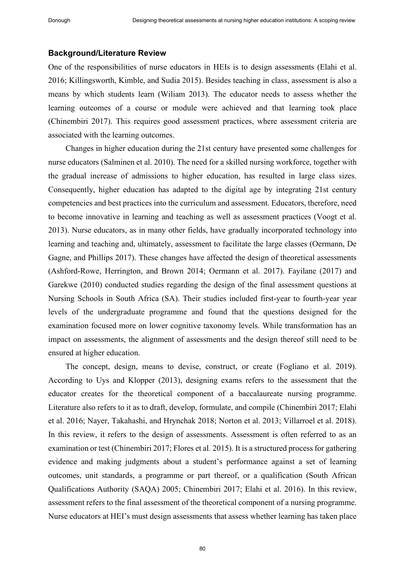#### **Background/Literature Review**

One of the responsibilities of nurse educators in HEIs is to design assessments (Elahi et al. 2016; Killingsworth, Kimble, and Sudia 2015). Besides teaching in class, assessment is also a means by which students learn (Wiliam 2013). The educator needs to assess whether the learning outcomes of a course or module were achieved and that learning took place (Chinembiri 2017). This requires good assessment practices, where assessment criteria are associated with the learning outcomes.

Changes in higher education during the 21st century have presented some challenges for nurse educators (Salminen et al. 2010). The need for a skilled nursing workforce, together with the gradual increase of admissions to higher education, has resulted in large class sizes. Consequently, higher education has adapted to the digital age by integrating 21st century competencies and best practices into the curriculum and assessment. Educators, therefore, need to become innovative in learning and teaching as well as assessment practices (Voogt et al. 2013). Nurse educators, as in many other fields, have gradually incorporated technology into learning and teaching and, ultimately, assessment to facilitate the large classes (Oermann, De Gagne, and Phillips 2017). These changes have affected the design of theoretical assessments (Ashford-Rowe, Herrington, and Brown 2014; Oermann et al. 2017). Fayilane (2017) and Garekwe (2010) conducted studies regarding the design of the final assessment questions at Nursing Schools in South Africa (SA). Their studies included first-year to fourth-year year levels of the undergraduate programme and found that the questions designed for the examination focused more on lower cognitive taxonomy levels. While transformation has an impact on assessments, the alignment of assessments and the design thereof still need to be ensured at higher education.

The concept, design, means to devise, construct, or create (Fogliano et al. 2019). According to Uys and Klopper (2013), designing exams refers to the assessment that the educator creates for the theoretical component of a baccalaureate nursing programme. Literature also refers to it as to draft, develop, formulate, and compile (Chinembiri 2017; Elahi et al. 2016; Nayer, Takahashi, and Hrynchak 2018; Norton et al. 2013; Villarroel et al. 2018). In this review, it refers to the design of assessments. Assessment is often referred to as an examination or test (Chinembiri 2017; Flores et al. 2015). It is a structured process for gathering evidence and making judgments about a student's performance against a set of learning outcomes, unit standards, a programme or part thereof, or a qualification (South African Qualifications Authority (SAQA) 2005; Chinembiri 2017; Elahi et al. 2016). In this review, assessment refers to the final assessment of the theoretical component of a nursing programme. Nurse educators at HEI's must design assessments that assess whether learning has taken place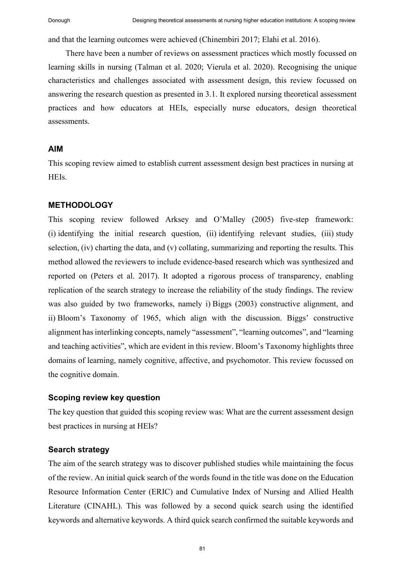and that the learning outcomes were achieved (Chinembiri 2017; Elahi et al. 2016).

There have been a number of reviews on assessment practices which mostly focussed on learning skills in nursing (Talman et al. 2020; Vierula et al. 2020). Recognising the unique characteristics and challenges associated with assessment design, this review focussed on answering the research question as presented in 3.1. It explored nursing theoretical assessment practices and how educators at HEIs, especially nurse educators, design theoretical assessments.

# **AIM**

This scoping review aimed to establish current assessment design best practices in nursing at HEIs.

## **METHODOLOGY**

This scoping review followed Arksey and O'Malley (2005) five-step framework: (i) identifying the initial research question, (ii) identifying relevant studies, (iii) study selection, (iv) charting the data, and (v) collating, summarizing and reporting the results. This method allowed the reviewers to include evidence-based research which was synthesized and reported on (Peters et al. 2017). It adopted a rigorous process of transparency, enabling replication of the search strategy to increase the reliability of the study findings. The review was also guided by two frameworks, namely i) Biggs (2003) constructive alignment, and ii) Bloom's Taxonomy of 1965, which align with the discussion. Biggs' constructive alignment has interlinking concepts, namely "assessment", "learning outcomes", and "learning and teaching activities", which are evident in this review. Bloom's Taxonomy highlights three domains of learning, namely cognitive, affective, and psychomotor. This review focussed on the cognitive domain.

# **Scoping review key question**

The key question that guided this scoping review was: What are the current assessment design best practices in nursing at HEIs?

## **Search strategy**

The aim of the search strategy was to discover published studies while maintaining the focus of the review. An initial quick search of the words found in the title was done on the Education Resource Information Center (ERIC) and Cumulative Index of Nursing and Allied Health Literature (CINAHL). This was followed by a second quick search using the identified keywords and alternative keywords. A third quick search confirmed the suitable keywords and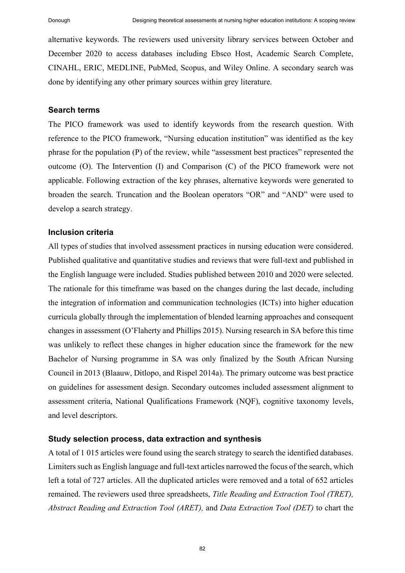alternative keywords. The reviewers used university library services between October and December 2020 to access databases including Ebsco Host, Academic Search Complete, CINAHL, ERIC, MEDLINE, PubMed, Scopus, and Wiley Online. A secondary search was done by identifying any other primary sources within grey literature.

## **Search terms**

The PICO framework was used to identify keywords from the research question. With reference to the PICO framework, "Nursing education institution" was identified as the key phrase for the population (P) of the review, while "assessment best practices" represented the outcome (O). The Intervention (I) and Comparison (C) of the PICO framework were not applicable. Following extraction of the key phrases, alternative keywords were generated to broaden the search. Truncation and the Boolean operators "OR" and "AND" were used to develop a search strategy.

## **Inclusion criteria**

All types of studies that involved assessment practices in nursing education were considered. Published qualitative and quantitative studies and reviews that were full-text and published in the English language were included. Studies published between 2010 and 2020 were selected. The rationale for this timeframe was based on the changes during the last decade, including the integration of information and communication technologies (ICTs) into higher education curricula globally through the implementation of blended learning approaches and consequent changes in assessment (O'Flaherty and Phillips 2015). Nursing research in SA before this time was unlikely to reflect these changes in higher education since the framework for the new Bachelor of Nursing programme in SA was only finalized by the South African Nursing Council in 2013 (Blaauw, Ditlopo, and Rispel 2014a). The primary outcome was best practice on guidelines for assessment design. Secondary outcomes included assessment alignment to assessment criteria, National Qualifications Framework (NQF), cognitive taxonomy levels, and level descriptors.

#### **Study selection process, data extraction and synthesis**

A total of 1 015 articles were found using the search strategy to search the identified databases. Limiters such as English language and full-text articles narrowed the focus of the search, which left a total of 727 articles. All the duplicated articles were removed and a total of 652 articles remained. The reviewers used three spreadsheets, *Title Reading and Extraction Tool (TRET), Abstract Reading and Extraction Tool (ARET),* and *Data Extraction Tool (DET)* to chart the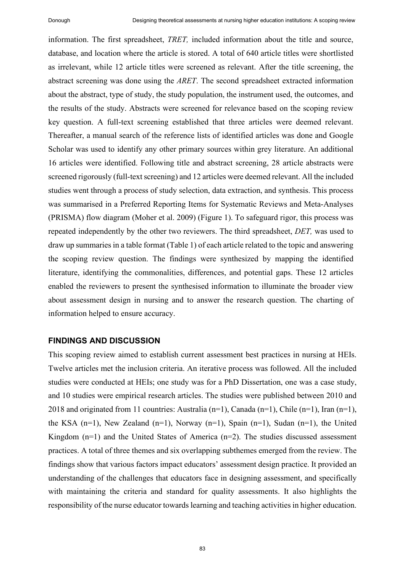information. The first spreadsheet, *TRET,* included information about the title and source, database, and location where the article is stored. A total of 640 article titles were shortlisted as irrelevant, while 12 article titles were screened as relevant. After the title screening, the abstract screening was done using the *ARET*. The second spreadsheet extracted information about the abstract, type of study, the study population, the instrument used, the outcomes, and the results of the study. Abstracts were screened for relevance based on the scoping review key question. A full-text screening established that three articles were deemed relevant. Thereafter, a manual search of the reference lists of identified articles was done and Google Scholar was used to identify any other primary sources within grey literature. An additional 16 articles were identified. Following title and abstract screening, 28 article abstracts were screened rigorously (full-text screening) and 12 articles were deemed relevant. All the included studies went through a process of study selection, data extraction, and synthesis. This process was summarised in a Preferred Reporting Items for Systematic Reviews and Meta-Analyses (PRISMA) flow diagram (Moher et al. 2009) (Figure 1). To safeguard rigor, this process was repeated independently by the other two reviewers. The third spreadsheet, *DET,* was used to draw up summaries in a table format (Table 1) of each article related to the topic and answering the scoping review question. The findings were synthesized by mapping the identified literature, identifying the commonalities, differences, and potential gaps. These 12 articles enabled the reviewers to present the synthesised information to illuminate the broader view about assessment design in nursing and to answer the research question. The charting of information helped to ensure accuracy.

## **FINDINGS AND DISCUSSION**

This scoping review aimed to establish current assessment best practices in nursing at HEIs. Twelve articles met the inclusion criteria. An iterative process was followed. All the included studies were conducted at HEIs; one study was for a PhD Dissertation, one was a case study, and 10 studies were empirical research articles. The studies were published between 2010 and 2018 and originated from 11 countries: Australia (n=1), Canada (n=1), Chile (n=1), Iran (n=1), the KSA  $(n=1)$ , New Zealand  $(n=1)$ , Norway  $(n=1)$ , Spain  $(n=1)$ , Sudan  $(n=1)$ , the United Kingdom  $(n=1)$  and the United States of America  $(n=2)$ . The studies discussed assessment practices. A total of three themes and six overlapping subthemes emerged from the review. The findings show that various factors impact educators' assessment design practice. It provided an understanding of the challenges that educators face in designing assessment, and specifically with maintaining the criteria and standard for quality assessments. It also highlights the responsibility of the nurse educator towards learning and teaching activities in higher education.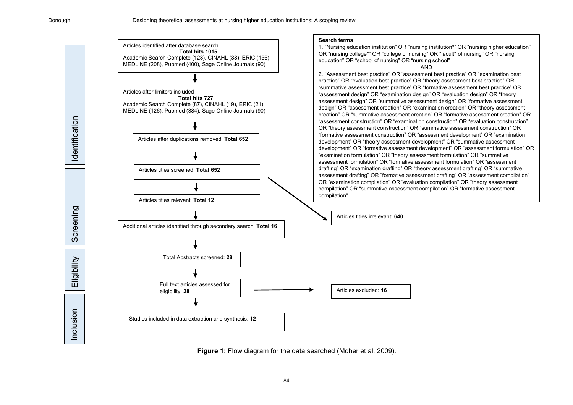

**Figure 1:** Flow diagram for the data searched (Moher et al. 2009).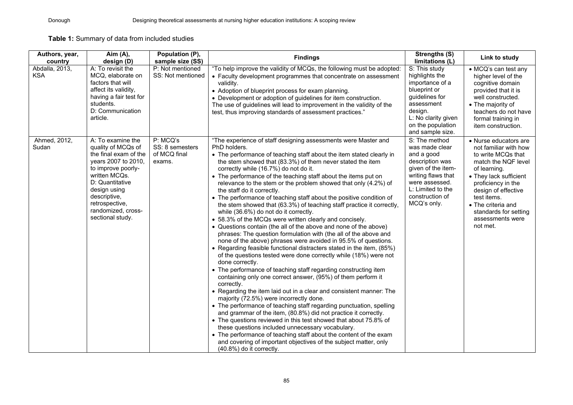**Table 1:** Summary of data from included studies

| Authors, year,<br>country    | Aim (A),<br>design (D)                                                                                                                                                                                                                        | Population (P),<br>sample size (SS)                   | <b>Findings</b>                                                                                                                                                                                                                                                                                                                                                                                                                                                                                                                                                                                                                                                                                                                                                                                                                                                                                                                                                                                                                                                                                                                                                                                                                                                                                                                                                                                                                                                                                                                                                                                                                                                                                                                                                          | <b>Strengths (S)</b><br>limitations (L)                                                                                                                                               | Link to study                                                                                                                                                                                                                                                                    |
|------------------------------|-----------------------------------------------------------------------------------------------------------------------------------------------------------------------------------------------------------------------------------------------|-------------------------------------------------------|--------------------------------------------------------------------------------------------------------------------------------------------------------------------------------------------------------------------------------------------------------------------------------------------------------------------------------------------------------------------------------------------------------------------------------------------------------------------------------------------------------------------------------------------------------------------------------------------------------------------------------------------------------------------------------------------------------------------------------------------------------------------------------------------------------------------------------------------------------------------------------------------------------------------------------------------------------------------------------------------------------------------------------------------------------------------------------------------------------------------------------------------------------------------------------------------------------------------------------------------------------------------------------------------------------------------------------------------------------------------------------------------------------------------------------------------------------------------------------------------------------------------------------------------------------------------------------------------------------------------------------------------------------------------------------------------------------------------------------------------------------------------------|---------------------------------------------------------------------------------------------------------------------------------------------------------------------------------------|----------------------------------------------------------------------------------------------------------------------------------------------------------------------------------------------------------------------------------------------------------------------------------|
| Abdalla, 2013,<br><b>KSA</b> | A: To revisit the<br>MCQ, elaborate on<br>factors that will<br>affect its validity,<br>having a fair test for<br>students.<br>D: Communication<br>article.                                                                                    | P: Not mentioned<br>SS: Not mentioned                 | "To help improve the validity of MCQs, the following must be adopted:<br>• Faculty development programmes that concentrate on assessment<br>validity.<br>• Adoption of blueprint process for exam planning.<br>• Development or adoption of guidelines for item construction.<br>The use of guidelines will lead to improvement in the validity of the<br>test, thus improving standards of assessment practices."                                                                                                                                                                                                                                                                                                                                                                                                                                                                                                                                                                                                                                                                                                                                                                                                                                                                                                                                                                                                                                                                                                                                                                                                                                                                                                                                                       | S: This study<br>highlights the<br>importance of a<br>blueprint or<br>guidelines for<br>assessment<br>design.<br>L: No clarity given<br>on the population<br>and sample size.         | • MCQ's can test any<br>higher level of the<br>cognitive domain<br>provided that it is<br>well constructed.<br>• The majority of<br>teachers do not have<br>formal training in<br>item construction.                                                                             |
| Ahmed, 2012,<br>Sudan        | A: To examine the<br>quality of MCQs of<br>the final exam of the<br>years 2007 to 2010,<br>to improve poorly-<br>written MCQs.<br>D: Quantitative<br>design using<br>descriptive,<br>retrospective,<br>randomized, cross-<br>sectional study. | P: MCQ's<br>SS: 8 semesters<br>of MCQ final<br>exams. | "The experience of staff designing assessments were Master and<br>PhD holders.<br>• The performance of teaching staff about the item stated clearly in<br>the stem showed that (83.3%) of them never stated the item<br>correctly while (16.7%) do not do it.<br>• The performance of the teaching staff about the items put on<br>relevance to the stem or the problem showed that only (4.2%) of<br>the staff do it correctly.<br>• The performance of teaching staff about the positive condition of<br>the stem showed that (63.3%) of teaching staff practice it correctly,<br>while (36.6%) do not do it correctly.<br>• 58.3% of the MCQs were written clearly and concisely.<br>• Questions contain (the all of the above and none of the above)<br>phrases: The question formulation with (the all of the above and<br>none of the above) phrases were avoided in 95.5% of questions.<br>• Regarding feasible functional distracters stated in the item, (85%)<br>of the questions tested were done correctly while (18%) were not<br>done correctly.<br>• The performance of teaching staff regarding constructing item<br>containing only one correct answer, (95%) of them perform it<br>correctly.<br>• Regarding the item laid out in a clear and consistent manner: The<br>majority (72.5%) were incorrectly done.<br>• The performance of teaching staff regarding punctuation, spelling<br>and grammar of the item, (80.8%) did not practice it correctly.<br>• The questions reviewed in this test showed that about 75.8% of<br>these questions included unnecessary vocabulary.<br>• The performance of teaching staff about the content of the exam<br>and covering of important objectives of the subject matter, only<br>(40.8%) do it correctly. | S: The method<br>was made clear<br>and a good<br>description was<br>given of the item-<br>writing flaws that<br>were assessed.<br>L: Limited to the<br>construction of<br>MCQ's only. | • Nurse educators are<br>not familiar with how<br>to write MCQs that<br>match the NQF level<br>of learning.<br>• They lack sufficient<br>proficiency in the<br>design of effective<br>test items.<br>• The criteria and<br>standards for setting<br>assessments were<br>not met. |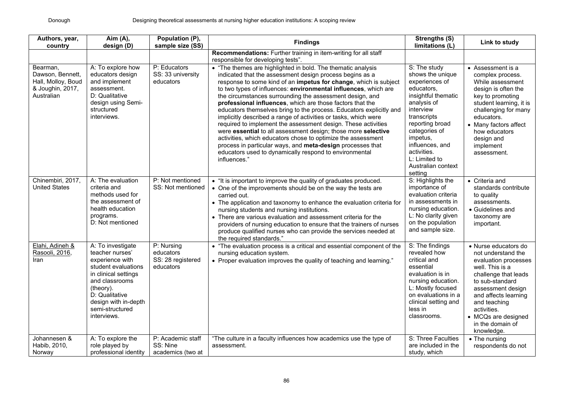| Authors, year,<br>country                                                            | Aim (A),<br>design (D)                                                                                                                                                                                            | Population (P),<br>sample size (SS)                       | <b>Findings</b>                                                                                                                                                                                                                                                                                                                                                                                                                                                                                                                                                                                                                                                                                                                                                                                                                                                              | <b>Strengths (S)</b><br>limitations (L)                                                                                                                                                                                                                                | Link to study                                                                                                                                                                                                                                                         |
|--------------------------------------------------------------------------------------|-------------------------------------------------------------------------------------------------------------------------------------------------------------------------------------------------------------------|-----------------------------------------------------------|------------------------------------------------------------------------------------------------------------------------------------------------------------------------------------------------------------------------------------------------------------------------------------------------------------------------------------------------------------------------------------------------------------------------------------------------------------------------------------------------------------------------------------------------------------------------------------------------------------------------------------------------------------------------------------------------------------------------------------------------------------------------------------------------------------------------------------------------------------------------------|------------------------------------------------------------------------------------------------------------------------------------------------------------------------------------------------------------------------------------------------------------------------|-----------------------------------------------------------------------------------------------------------------------------------------------------------------------------------------------------------------------------------------------------------------------|
|                                                                                      |                                                                                                                                                                                                                   |                                                           | Recommendations: Further training in item-writing for all staff<br>responsible for developing tests".                                                                                                                                                                                                                                                                                                                                                                                                                                                                                                                                                                                                                                                                                                                                                                        |                                                                                                                                                                                                                                                                        |                                                                                                                                                                                                                                                                       |
| Bearman,<br>Dawson, Bennett,<br>Hall, Molloy, Boud<br>& Joughin, 2017,<br>Australian | A: To explore how<br>educators design<br>and implement<br>assessment.<br>D: Qualitative<br>design using Semi-<br>structured<br>interviews.                                                                        | P: Educators<br>SS: 33 university<br>educators            | • "The themes are highlighted in bold. The thematic analysis<br>indicated that the assessment design process begins as a<br>response to some kind of an impetus for change, which is subject<br>to two types of influences: environmental influences, which are<br>the circumstances surrounding the assessment design, and<br>professional influences, which are those factors that the<br>educators themselves bring to the process. Educators explicitly and<br>implicitly described a range of activities or tasks, which were<br>required to implement the assessment design. These activities<br>were essential to all assessment design; those more selective<br>activities, which educators chose to optimize the assessment<br>process in particular ways, and meta-design processes that<br>educators used to dynamically respond to environmental<br>influences." | S: The study<br>shows the unique<br>experiences of<br>educators,<br>insightful thematic<br>analysis of<br>interview<br>transcripts<br>reporting broad<br>categories of<br>impetus,<br>influences, and<br>activities.<br>L: Limited to<br>Australian context<br>setting | • Assessment is a<br>complex process.<br>While assessment<br>design is often the<br>key to promoting<br>student learning, it is<br>challenging for many<br>educators.<br>• Many factors affect<br>how educators<br>design and<br>implement<br>assessment.             |
| Chinembiri, 2017,<br><b>United States</b>                                            | A: The evaluation<br>criteria and<br>methods used for<br>the assessment of<br>health education<br>programs.<br>D: Not mentioned                                                                                   | P: Not mentioned<br>SS: Not mentioned                     | • "It is important to improve the quality of graduates produced.<br>• One of the improvements should be on the way the tests are<br>carried out.<br>• The application and taxonomy to enhance the evaluation criteria for<br>nursing students and nursing institutions.<br>• There are various evaluation and assessment criteria for the<br>providers of nursing education to ensure that the trainers of nurses<br>produce qualified nurses who can provide the services needed at<br>the required standards."                                                                                                                                                                                                                                                                                                                                                             | S: Highlights the<br>importance of<br>evaluation criteria<br>in assessments in<br>nursing education.<br>L: No clarity given<br>on the population<br>and sample size.                                                                                                   | • Criteria and<br>standards contribute<br>to quality<br>assessments.<br>• Guidelines and<br>taxonomy are<br>important.                                                                                                                                                |
| Elahi, Adineh &<br>Rasooli, 2016,<br>Iran                                            | A: To investigate<br>teacher nurses'<br>experience with<br>student evaluations<br>in clinical settings<br>and classrooms<br>(theory).<br>D: Qualitative<br>design with in-depth<br>semi-structured<br>interviews. | P: Nursing<br>educators<br>SS: 28 registered<br>educators | • "The evaluation process is a critical and essential component of the<br>nursing education system.<br>• Proper evaluation improves the quality of teaching and learning."                                                                                                                                                                                                                                                                                                                                                                                                                                                                                                                                                                                                                                                                                                   | S: The findings<br>revealed how<br>critical and<br>essential<br>evaluation is in<br>nursing education.<br>L: Mostly focused<br>on evaluations in a<br>clinical setting and<br>less in<br>classrooms.                                                                   | • Nurse educators do<br>not understand the<br>evaluation processes<br>well. This is a<br>challenge that leads<br>to sub-standard<br>assessment design<br>and affects learning<br>and teaching<br>activities.<br>• MCQs are designed<br>in the domain of<br>knowledge. |
| Johannesen &<br>Habib, 2010,<br>Norway                                               | A: To explore the<br>role played by<br>professional identity                                                                                                                                                      | P: Academic staff<br>SS: Nine<br>academics (two at        | "The culture in a faculty influences how academics use the type of<br>assessment.                                                                                                                                                                                                                                                                                                                                                                                                                                                                                                                                                                                                                                                                                                                                                                                            | S: Three Faculties<br>are included in the<br>study, which                                                                                                                                                                                                              | • The nursing<br>respondents do not                                                                                                                                                                                                                                   |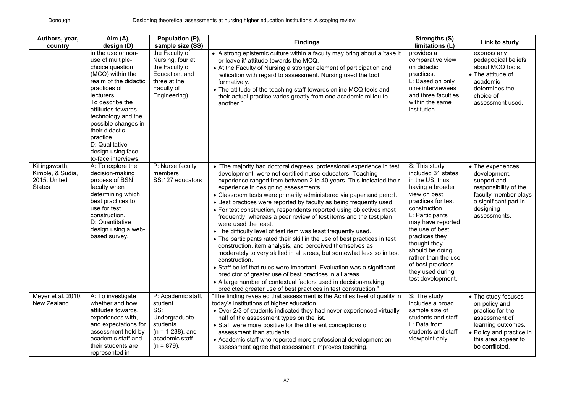| Authors, year,<br>country                                           | Aim (A),<br>design (D)                                                                                                                                                                                                                                                                                                  | Population (P),<br>sample size (SS)                                                                                          | <b>Findings</b>                                                                                                                                                                                                                                                                                                                                                                                                                                                                                                                                                                                                                                                                                                                                                                                                                                                                                                                                                                                                                                                                                                                                   | Strengths (S)<br>limitations (L)                                                                                                                                                                                                                                                                                                       | Link to study                                                                                                                                                        |
|---------------------------------------------------------------------|-------------------------------------------------------------------------------------------------------------------------------------------------------------------------------------------------------------------------------------------------------------------------------------------------------------------------|------------------------------------------------------------------------------------------------------------------------------|---------------------------------------------------------------------------------------------------------------------------------------------------------------------------------------------------------------------------------------------------------------------------------------------------------------------------------------------------------------------------------------------------------------------------------------------------------------------------------------------------------------------------------------------------------------------------------------------------------------------------------------------------------------------------------------------------------------------------------------------------------------------------------------------------------------------------------------------------------------------------------------------------------------------------------------------------------------------------------------------------------------------------------------------------------------------------------------------------------------------------------------------------|----------------------------------------------------------------------------------------------------------------------------------------------------------------------------------------------------------------------------------------------------------------------------------------------------------------------------------------|----------------------------------------------------------------------------------------------------------------------------------------------------------------------|
|                                                                     | in the use or non-<br>use of multiple-<br>choice question<br>(MCQ) within the<br>realm of the didactic<br>practices of<br>lecturers.<br>To describe the<br>attitudes towards<br>technology and the<br>possible changes in<br>their didactic<br>practice.<br>D: Qualitative<br>design using face-<br>to-face interviews. | the Faculty of<br>Nursing, four at<br>the Faculty of<br>Education, and<br>three at the<br>Faculty of<br>Engineering)         | • A strong epistemic culture within a faculty may bring about a 'take it<br>or leave it' attitude towards the MCQ.<br>• At the Faculty of Nursing a stronger element of participation and<br>reification with regard to assessment. Nursing used the tool<br>formatively.<br>. The attitude of the teaching staff towards online MCQ tools and<br>their actual practice varies greatly from one academic milieu to<br>another."                                                                                                                                                                                                                                                                                                                                                                                                                                                                                                                                                                                                                                                                                                                   | provides a<br>comparative view<br>on didactic<br>practices.<br>L: Based on only<br>nine interviewees<br>and three faculties<br>within the same<br>institution.                                                                                                                                                                         | express any<br>pedagogical beliefs<br>about MCQ tools.<br>• The attitude of<br>academic<br>determines the<br>choice of<br>assessment used.                           |
| Killingsworth,<br>Kimble, & Sudia,<br>2015, United<br><b>States</b> | A: To explore the<br>decision-making<br>process of BSN<br>faculty when<br>determining which<br>best practices to<br>use for test<br>construction.<br>D: Quantitative<br>design using a web-<br>based survey.                                                                                                            | P: Nurse faculty<br>members<br>SS:127 educators                                                                              | • "The majority had doctoral degrees, professional experience in test<br>development, were not certified nurse educators. Teaching<br>experience ranged from between 2 to 40 years. This indicated their<br>experience in designing assessments.<br>• Classroom tests were primarily administered via paper and pencil.<br>• Best practices were reported by faculty as being frequently used.<br>• For test construction, respondents reported using objectives most<br>frequently, whereas a peer review of test items and the test plan<br>were used the least.<br>• The difficulty level of test item was least frequently used.<br>• The participants rated their skill in the use of best practices in test<br>construction, item analysis, and perceived themselves as<br>moderately to very skilled in all areas, but somewhat less so in test<br>construction.<br>• Staff belief that rules were important. Evaluation was a significant<br>predictor of greater use of best practices in all areas.<br>• A large number of contextual factors used in decision-making<br>predicted greater use of best practices in test construction." | S: This study<br>included 31 states<br>in the US, thus<br>having a broader<br>view on best<br>practices for test<br>construction.<br>L: Participants<br>may have reported<br>the use of best<br>practices they<br>thought they<br>should be doing<br>rather than the use<br>of best practices<br>they used during<br>test development. | • The experiences,<br>development,<br>support and<br>responsibility of the<br>faculty member plays<br>a significant part in<br>designing<br>assessments.             |
| Meyer et al. 2010,<br>New Zealand                                   | A: To investigate<br>whether and how<br>attitudes towards,<br>experiences with,<br>and expectations for<br>assessment held by<br>academic staff and<br>their students are<br>represented in                                                                                                                             | P: Academic staff,<br>student.<br>SS:<br>Undergraduate<br>students<br>$(n = 1,238)$ , and<br>academic staff<br>$(n = 879)$ . | "The finding revealed that assessment is the Achilles heel of quality in<br>today's institutions of higher education.<br>• Over 2/3 of students indicated they had never experienced virtually<br>half of the assessment types on the list.<br>• Staff were more positive for the different conceptions of<br>assessment than students.<br>• Academic staff who reported more professional development on<br>assessment agree that assessment improves teaching.                                                                                                                                                                                                                                                                                                                                                                                                                                                                                                                                                                                                                                                                                  | S: The study<br>includes a broad<br>sample size of<br>students and staff.<br>L: Data from<br>students and staff<br>viewpoint only.                                                                                                                                                                                                     | • The study focuses<br>on policy and<br>practice for the<br>assessment of<br>learning outcomes.<br>• Policy and practice in<br>this area appear to<br>be conflicted, |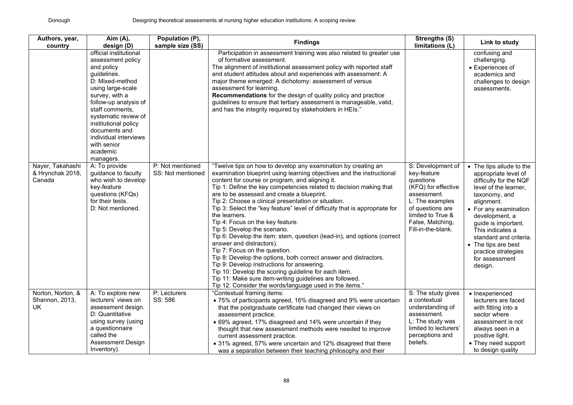| Authors, year,<br>country                        | Aim (A),<br>design (D)                                                                                                                                                                                                                                                                                           | Population (P),<br>sample size (SS)   | <b>Findings</b>                                                                                                                                                                                                                                                                                                                                                                                                                                                                                                                                                                                                                                                                                                                                                                                                                                                                                                                                                                  | Strengths (S)<br>limitations (L)                                                                                                                                                          | Link to study                                                                                                                                                                                                                                                                                                                 |
|--------------------------------------------------|------------------------------------------------------------------------------------------------------------------------------------------------------------------------------------------------------------------------------------------------------------------------------------------------------------------|---------------------------------------|----------------------------------------------------------------------------------------------------------------------------------------------------------------------------------------------------------------------------------------------------------------------------------------------------------------------------------------------------------------------------------------------------------------------------------------------------------------------------------------------------------------------------------------------------------------------------------------------------------------------------------------------------------------------------------------------------------------------------------------------------------------------------------------------------------------------------------------------------------------------------------------------------------------------------------------------------------------------------------|-------------------------------------------------------------------------------------------------------------------------------------------------------------------------------------------|-------------------------------------------------------------------------------------------------------------------------------------------------------------------------------------------------------------------------------------------------------------------------------------------------------------------------------|
|                                                  | official institutional<br>assessment policy<br>and policy<br>guidelines.<br>D: Mixed-method<br>using large-scale<br>survey, with a<br>follow-up analysis of<br>staff comments,<br>systematic review of<br>institutional policy<br>documents and<br>individual interviews<br>with senior<br>academic<br>managers. |                                       | Participation in assessment training was also related to greater use<br>of formative assessment.<br>The alignment of institutional assessment policy with reported staff<br>and student attitudes about and experiences with assessment: A<br>major theme emerged: A dichotomy: assessment of versus<br>assessment for learning.<br>Recommendations for the design of quality policy and practice<br>guidelines to ensure that tertiary assessment is manageable, valid,<br>and has the integrity required by stakeholders in HEIs."                                                                                                                                                                                                                                                                                                                                                                                                                                             |                                                                                                                                                                                           | confusing and<br>challenging.<br>• Experiences of<br>academics and<br>challenges to design<br>assessments.                                                                                                                                                                                                                    |
| Nayer, Takahashi<br>& Hrynchak 2018,<br>Canada   | A: To provide<br>guidance to faculty<br>who wish to develop<br>key-feature<br>questions (KFQs)<br>for their tests.<br>D: Not mentioned.                                                                                                                                                                          | P: Not mentioned<br>SS: Not mentioned | "Twelve tips on how to develop any examination by creating an<br>examination blueprint using learning objectives and the instructional<br>content for course or program, and aligning it.<br>Tip 1: Define the key competencies related to decision making that<br>are to be assessed and create a blueprint.<br>Tip 2: Choose a clinical presentation or situation.<br>Tip 3: Select the "key feature" level of difficulty that is appropriate for<br>the learners.<br>Tip 4: Focus on the key feature.<br>Tip 5: Develop the scenario.<br>Tip 6: Develop the item: stem, question (lead-in), and options (correct<br>answer and distractors).<br>Tip 7: Focus on the question.<br>Tip 8: Develop the options, both correct answer and distractors.<br>Tip 9: Develop instructions for answering.<br>Tip 10: Develop the scoring guideline for each item.<br>Tip 11: Make sure item-writing guidelines are followed.<br>Tip 12: Consider the words/language used in the items." | S: Development of<br>key-feature<br>questions<br>(KFQ) for effective<br>assessment.<br>L: The examples<br>of questions are<br>limited to True &<br>False, Matching,<br>Fill-in-the-blank. | • The tips allude to the<br>appropriate level of<br>difficulty for the NQF<br>level of the learner,<br>taxonomy, and<br>alignment.<br>• For any examination<br>development, a<br>guide is important.<br>This indicates a<br>standard and criteria.<br>• The tips are best<br>practice strategies<br>for assessment<br>design. |
| Norton, Norton, &<br>Shannon, 2013,<br><b>UK</b> | A: To explore new<br>lecturers' views on<br>assessment design.<br>D: Quantitative<br>using survey (using<br>a questionnaire<br>called the<br><b>Assessment Design</b><br>Inventory).                                                                                                                             | P: Lecturers<br>SS: 586               | "Contextual framing items:<br>• 75% of participants agreed, 16% disagreed and 9% were uncertain<br>that the postgraduate certificate had changed their views on<br>assessment practice.<br>• 69% agreed, 17% disagreed and 14% were uncertain if they<br>thought that new assessment methods were needed to improve<br>current assessment practice.<br>• 31% agreed, 57% were uncertain and 12% disagreed that there<br>was a separation between their teaching philosophy and their                                                                                                                                                                                                                                                                                                                                                                                                                                                                                             | S: The study gives<br>a contextual<br>understanding of<br>assessment.<br>L: The study was<br>limited to lecturers'<br>perceptions and<br>beliefs.                                         | • Inexperienced<br>lecturers are faced<br>with fitting into a<br>sector where<br>assessment is not<br>always seen in a<br>positive light.<br>• They need support<br>to design quality                                                                                                                                         |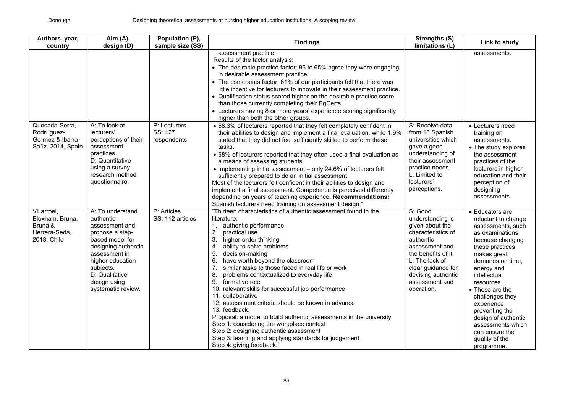| Authors, year,<br>country                                                 | Aim (A),<br>design (D)                                                                                                                                                                                                 | Population (P),<br>sample size (SS)    | <b>Findings</b>                                                                                                                                                                                                                                                                                                                                                                                                                                                                                                                                                                                                                                                                                                                                                                                                   | <b>Strengths (S)</b><br>limitations (L)                                                                                                                                                                                     | Link to study                                                                                                                                                                                                                                                                                                                                                            |
|---------------------------------------------------------------------------|------------------------------------------------------------------------------------------------------------------------------------------------------------------------------------------------------------------------|----------------------------------------|-------------------------------------------------------------------------------------------------------------------------------------------------------------------------------------------------------------------------------------------------------------------------------------------------------------------------------------------------------------------------------------------------------------------------------------------------------------------------------------------------------------------------------------------------------------------------------------------------------------------------------------------------------------------------------------------------------------------------------------------------------------------------------------------------------------------|-----------------------------------------------------------------------------------------------------------------------------------------------------------------------------------------------------------------------------|--------------------------------------------------------------------------------------------------------------------------------------------------------------------------------------------------------------------------------------------------------------------------------------------------------------------------------------------------------------------------|
|                                                                           |                                                                                                                                                                                                                        |                                        | assessment practice.<br>Results of the factor analysis:<br>• The desirable practice factor: 86 to 65% agree they were engaging<br>in desirable assessment practice.<br>• The constraints factor: 61% of our participants felt that there was<br>little incentive for lecturers to innovate in their assessment practice.<br>• Qualification status scored higher on the desirable practice score<br>than those currently completing their PgCerts.<br>• Lecturers having 8 or more years' experience scoring significantly<br>higher than both the other groups.                                                                                                                                                                                                                                                  |                                                                                                                                                                                                                             | assessments.                                                                                                                                                                                                                                                                                                                                                             |
| Quesada-Serra,<br>Rodri'guez-<br>Go'mez & Ibarra-<br>Sa'iz. 2014, Spain   | A: To look at<br>lecturers'<br>perceptions of their<br>assessment<br>practices.<br>D: Quantitative<br>using a survey<br>research method<br>questionnaire.                                                              | P: Lecturers<br>SS: 427<br>respondents | • 58.3% of lecturers reported that they felt completely confident in<br>their abilities to design and implement a final evaluation, while 1.9%<br>stated that they did not feel sufficiently skilled to perform these<br>tasks.<br>• 68% of lecturers reported that they often used a final evaluation as<br>a means of assessing students.<br>• Implementing initial assessment - only 24.6% of lecturers felt<br>sufficiently prepared to do an initial assessment.<br>Most of the lecturers felt confident in their abilities to design and<br>implement a final assessment. Competence is perceived differently<br>depending on years of teaching experience. Recommendations:<br>Spanish lecturers need training on assessment design."                                                                      | S: Receive data<br>from 18 Spanish<br>universities which<br>gave a good<br>understanding of<br>their assessment<br>practice needs.<br>L: Limited to<br>lecturers'<br>perceptions.                                           | • Lecturers need<br>training on<br>assessments.<br>• The study explores<br>the assessment<br>practices of the<br>lecturers in higher<br>education and their<br>perception of<br>designing<br>assessments.                                                                                                                                                                |
| Villarroel.<br>Bloxham, Bruna,<br>Bruna &<br>Herrera-Seda.<br>2018, Chile | A: To understand<br>authentic<br>assessment and<br>propose a step-<br>based model for<br>designing authentic<br>assessment in<br>higher education<br>subjects.<br>D: Qualitative<br>design using<br>systematic review. | P: Articles<br>SS: 112 articles        | "Thirteen characteristics of authentic assessment found in the<br>literature:<br>authentic performance<br>1.<br>2.<br>practical use<br>3.<br>higher-order thinking<br>ability to solve problems<br>4.<br>5.<br>decision-making<br>have worth beyond the classroom<br>6.<br>7.<br>similar tasks to those faced in real life or work<br>problems contextualized to everyday life<br>8.<br>formative role<br>9.<br>10. relevant skills for successful job performance<br>11. collaborative<br>12. assessment criteria should be known in advance<br>13. feedback.<br>Proposal: a model to build authentic assessments in the university<br>Step 1: considering the workplace context<br>Step 2: designing authentic assessment<br>Step 3: learning and applying standards for judgement<br>Step 4: giving feedback." | S: Good<br>understanding is<br>given about the<br>characteristics of<br>authentic<br>assessment and<br>the benefits of it.<br>$L$ : The lack of<br>clear guidance for<br>devising authentic<br>assessment and<br>operation. | • Educators are<br>reluctant to change<br>assessments, such<br>as examinations<br>because changing<br>these practices<br>makes great<br>demands on time,<br>energy and<br>intellectual<br>resources.<br>• These are the<br>challenges they<br>experience<br>preventing the<br>design of authentic<br>assessments which<br>can ensure the<br>quality of the<br>programme. |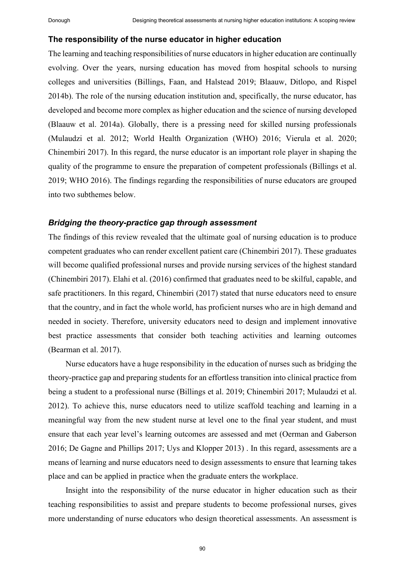#### **The responsibility of the nurse educator in higher education**

The learning and teaching responsibilities of nurse educators in higher education are continually evolving. Over the years, nursing education has moved from hospital schools to nursing colleges and universities (Billings, Faan, and Halstead 2019; Blaauw, Ditlopo, and Rispel 2014b). The role of the nursing education institution and, specifically, the nurse educator, has developed and become more complex as higher education and the science of nursing developed (Blaauw et al. 2014a). Globally, there is a pressing need for skilled nursing professionals (Mulaudzi et al. 2012; World Health Organization (WHO) 2016; Vierula et al. 2020; Chinembiri 2017). In this regard, the nurse educator is an important role player in shaping the quality of the programme to ensure the preparation of competent professionals (Billings et al. 2019; WHO 2016). The findings regarding the responsibilities of nurse educators are grouped into two subthemes below.

# *Bridging the theory-practice gap through assessment*

The findings of this review revealed that the ultimate goal of nursing education is to produce competent graduates who can render excellent patient care (Chinembiri 2017). These graduates will become qualified professional nurses and provide nursing services of the highest standard (Chinembiri 2017). Elahi et al. (2016) confirmed that graduates need to be skilful, capable, and safe practitioners. In this regard, Chinembiri (2017) stated that nurse educators need to ensure that the country, and in fact the whole world, has proficient nurses who are in high demand and needed in society. Therefore, university educators need to design and implement innovative best practice assessments that consider both teaching activities and learning outcomes (Bearman et al. 2017).

Nurse educators have a huge responsibility in the education of nurses such as bridging the theory-practice gap and preparing students for an effortless transition into clinical practice from being a student to a professional nurse (Billings et al. 2019; Chinembiri 2017; Mulaudzi et al. 2012). To achieve this, nurse educators need to utilize scaffold teaching and learning in a meaningful way from the new student nurse at level one to the final year student, and must ensure that each year level's learning outcomes are assessed and met (Oerman and Gaberson 2016; De Gagne and Phillips 2017; Uys and Klopper 2013) . In this regard, assessments are a means of learning and nurse educators need to design assessments to ensure that learning takes place and can be applied in practice when the graduate enters the workplace.

Insight into the responsibility of the nurse educator in higher education such as their teaching responsibilities to assist and prepare students to become professional nurses, gives more understanding of nurse educators who design theoretical assessments. An assessment is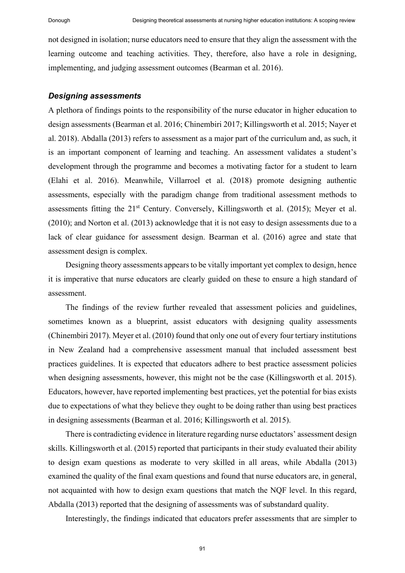not designed in isolation; nurse educators need to ensure that they align the assessment with the learning outcome and teaching activities. They, therefore, also have a role in designing, implementing, and judging assessment outcomes (Bearman et al. 2016).

#### *Designing assessments*

A plethora of findings points to the responsibility of the nurse educator in higher education to design assessments (Bearman et al. 2016; Chinembiri 2017; Killingsworth et al. 2015; Nayer et al. 2018). Abdalla (2013) refers to assessment as a major part of the curriculum and, as such, it is an important component of learning and teaching. An assessment validates a student's development through the programme and becomes a motivating factor for a student to learn (Elahi et al. 2016). Meanwhile, Villarroel et al. (2018) promote designing authentic assessments, especially with the paradigm change from traditional assessment methods to assessments fitting the 21st Century. Conversely, Killingsworth et al. (2015); Meyer et al. (2010); and Norton et al. (2013) acknowledge that it is not easy to design assessments due to a lack of clear guidance for assessment design. Bearman et al. (2016) agree and state that assessment design is complex.

Designing theory assessments appears to be vitally important yet complex to design, hence it is imperative that nurse educators are clearly guided on these to ensure a high standard of assessment.

The findings of the review further revealed that assessment policies and guidelines, sometimes known as a blueprint, assist educators with designing quality assessments (Chinembiri 2017). Meyer et al. (2010) found that only one out of every four tertiary institutions in New Zealand had a comprehensive assessment manual that included assessment best practices guidelines. It is expected that educators adhere to best practice assessment policies when designing assessments, however, this might not be the case (Killingsworth et al. 2015). Educators, however, have reported implementing best practices, yet the potential for bias exists due to expectations of what they believe they ought to be doing rather than using best practices in designing assessments (Bearman et al. 2016; Killingsworth et al. 2015).

There is contradicting evidence in literature regarding nurse eductators' assessment design skills. Killingsworth et al. (2015) reported that participants in their study evaluated their ability to design exam questions as moderate to very skilled in all areas, while Abdalla (2013) examined the quality of the final exam questions and found that nurse educators are, in general, not acquainted with how to design exam questions that match the NQF level. In this regard, Abdalla (2013) reported that the designing of assessments was of substandard quality.

Interestingly, the findings indicated that educators prefer assessments that are simpler to

91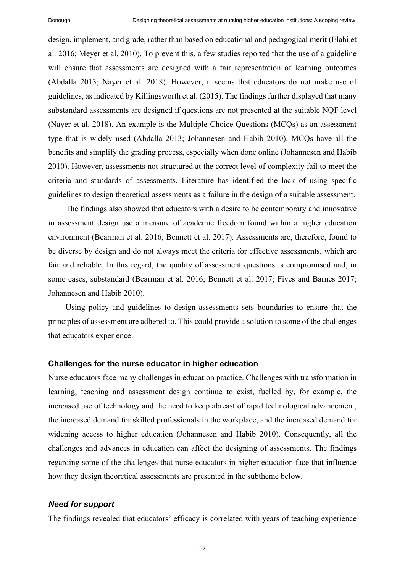design, implement, and grade, rather than based on educational and pedagogical merit (Elahi et al. 2016; Meyer et al. 2010). To prevent this, a few studies reported that the use of a guideline will ensure that assessments are designed with a fair representation of learning outcomes (Abdalla 2013; Nayer et al. 2018). However, it seems that educators do not make use of guidelines, as indicated by Killingsworth et al. (2015). The findings further displayed that many substandard assessments are designed if questions are not presented at the suitable NQF level (Nayer et al. 2018). An example is the Multiple-Choice Questions (MCQs) as an assessment type that is widely used (Abdalla 2013; Johannesen and Habib 2010). MCQs have all the benefits and simplify the grading process, especially when done online (Johannesen and Habib 2010). However, assessments not structured at the correct level of complexity fail to meet the criteria and standards of assessments. Literature has identified the lack of using specific guidelines to design theoretical assessments as a failure in the design of a suitable assessment.

The findings also showed that educators with a desire to be contemporary and innovative in assessment design use a measure of academic freedom found within a higher education environment (Bearman et al. 2016; Bennett et al. 2017). Assessments are, therefore, found to be diverse by design and do not always meet the criteria for effective assessments, which are fair and reliable. In this regard, the quality of assessment questions is compromised and, in some cases, substandard (Bearman et al. 2016; Bennett et al. 2017; Fives and Barnes 2017; Johannesen and Habib 2010).

Using policy and guidelines to design assessments sets boundaries to ensure that the principles of assessment are adhered to. This could provide a solution to some of the challenges that educators experience.

#### **Challenges for the nurse educator in higher education**

Nurse educators face many challenges in education practice. Challenges with transformation in learning, teaching and assessment design continue to exist, fuelled by, for example, the increased use of technology and the need to keep abreast of rapid technological advancement, the increased demand for skilled professionals in the workplace, and the increased demand for widening access to higher education (Johannesen and Habib 2010). Consequently, all the challenges and advances in education can affect the designing of assessments. The findings regarding some of the challenges that nurse educators in higher education face that influence how they design theoretical assessments are presented in the subtheme below.

#### *Need for support*

The findings revealed that educators' efficacy is correlated with years of teaching experience

92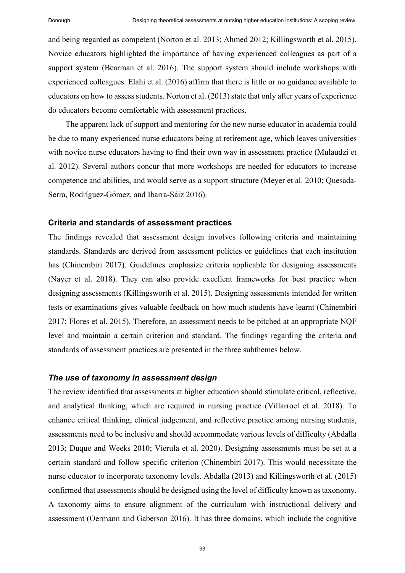and being regarded as competent (Norton et al. 2013; Ahmed 2012; Killingsworth et al. 2015). Novice educators highlighted the importance of having experienced colleagues as part of a support system (Bearman et al. 2016). The support system should include workshops with experienced colleagues. Elahi et al. (2016) affirm that there is little or no guidance available to educators on how to assess students. Norton et al. (2013) state that only after years of experience do educators become comfortable with assessment practices.

The apparent lack of support and mentoring for the new nurse educator in academia could be due to many experienced nurse educators being at retirement age, which leaves universities with novice nurse educators having to find their own way in assessment practice (Mulaudzi et al. 2012). Several authors concur that more workshops are needed for educators to increase competence and abilities, and would serve as a support structure (Meyer et al. 2010; Quesada-Serra, Rodríguez-Gómez, and Ibarra-Sáiz 2016).

## **Criteria and standards of assessment practices**

The findings revealed that assessment design involves following criteria and maintaining standards. Standards are derived from assessment policies or guidelines that each institution has (Chinembiri 2017). Guidelines emphasize criteria applicable for designing assessments (Nayer et al. 2018). They can also provide excellent frameworks for best practice when designing assessments (Killingsworth et al. 2015). Designing assessments intended for written tests or examinations gives valuable feedback on how much students have learnt (Chinembiri 2017; Flores et al. 2015). Therefore, an assessment needs to be pitched at an appropriate NQF level and maintain a certain criterion and standard. The findings regarding the criteria and standards of assessment practices are presented in the three subthemes below.

#### *The use of taxonomy in assessment design*

The review identified that assessments at higher education should stimulate critical, reflective, and analytical thinking, which are required in nursing practice (Villarroel et al. 2018). To enhance critical thinking, clinical judgement, and reflective practice among nursing students, assessments need to be inclusive and should accommodate various levels of difficulty (Abdalla 2013; Duque and Weeks 2010; Vierula et al. 2020). Designing assessments must be set at a certain standard and follow specific criterion (Chinembiri 2017). This would necessitate the nurse educator to incorporate taxonomy levels. Abdalla (2013) and Killingsworth et al. (2015) confirmed that assessments should be designed using the level of difficulty known as taxonomy. A taxonomy aims to ensure alignment of the curriculum with instructional delivery and assessment (Oermann and Gaberson 2016). It has three domains, which include the cognitive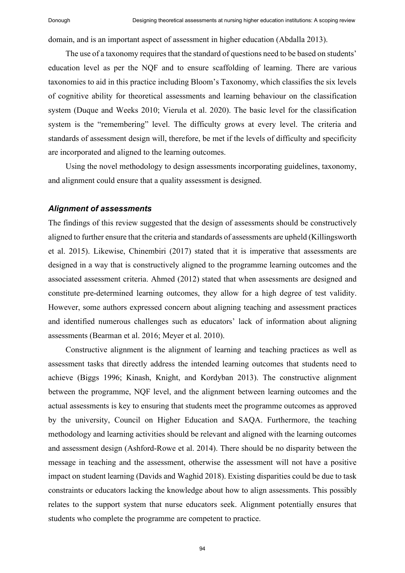domain, and is an important aspect of assessment in higher education (Abdalla 2013).

The use of a taxonomy requires that the standard of questions need to be based on students' education level as per the NQF and to ensure scaffolding of learning. There are various taxonomies to aid in this practice including Bloom's Taxonomy, which classifies the six levels of cognitive ability for theoretical assessments and learning behaviour on the classification system (Duque and Weeks 2010; Vierula et al. 2020). The basic level for the classification system is the "remembering" level. The difficulty grows at every level. The criteria and standards of assessment design will, therefore, be met if the levels of difficulty and specificity are incorporated and aligned to the learning outcomes.

Using the novel methodology to design assessments incorporating guidelines, taxonomy, and alignment could ensure that a quality assessment is designed.

#### *Alignment of assessments*

The findings of this review suggested that the design of assessments should be constructively aligned to further ensure that the criteria and standards of assessments are upheld (Killingsworth et al. 2015). Likewise, Chinembiri (2017) stated that it is imperative that assessments are designed in a way that is constructively aligned to the programme learning outcomes and the associated assessment criteria. Ahmed (2012) stated that when assessments are designed and constitute pre-determined learning outcomes, they allow for a high degree of test validity. However, some authors expressed concern about aligning teaching and assessment practices and identified numerous challenges such as educators' lack of information about aligning assessments (Bearman et al. 2016; Meyer et al. 2010).

Constructive alignment is the alignment of learning and teaching practices as well as assessment tasks that directly address the intended learning outcomes that students need to achieve (Biggs 1996; Kinash, Knight, and Kordyban 2013). The constructive alignment between the programme, NQF level, and the alignment between learning outcomes and the actual assessments is key to ensuring that students meet the programme outcomes as approved by the university, Council on Higher Education and SAQA. Furthermore, the teaching methodology and learning activities should be relevant and aligned with the learning outcomes and assessment design (Ashford-Rowe et al. 2014). There should be no disparity between the message in teaching and the assessment, otherwise the assessment will not have a positive impact on student learning (Davids and Waghid 2018). Existing disparities could be due to task constraints or educators lacking the knowledge about how to align assessments. This possibly relates to the support system that nurse educators seek. Alignment potentially ensures that students who complete the programme are competent to practice.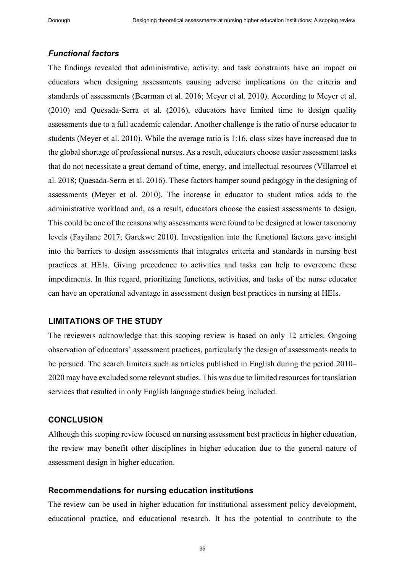# *Functional factors*

The findings revealed that administrative, activity, and task constraints have an impact on educators when designing assessments causing adverse implications on the criteria and standards of assessments (Bearman et al. 2016; Meyer et al. 2010). According to Meyer et al. (2010) and Quesada-Serra et al. (2016), educators have limited time to design quality assessments due to a full academic calendar. Another challenge is the ratio of nurse educator to students (Meyer et al. 2010). While the average ratio is 1:16, class sizes have increased due to the global shortage of professional nurses. As a result, educators choose easier assessment tasks that do not necessitate a great demand of time, energy, and intellectual resources (Villarroel et al. 2018; Quesada-Serra et al. 2016). These factors hamper sound pedagogy in the designing of assessments (Meyer et al. 2010). The increase in educator to student ratios adds to the administrative workload and, as a result, educators choose the easiest assessments to design. This could be one of the reasons why assessments were found to be designed at lower taxonomy levels (Fayilane 2017; Garekwe 2010). Investigation into the functional factors gave insight into the barriers to design assessments that integrates criteria and standards in nursing best practices at HEIs. Giving precedence to activities and tasks can help to overcome these impediments. In this regard, prioritizing functions, activities, and tasks of the nurse educator can have an operational advantage in assessment design best practices in nursing at HEIs.

# **LIMITATIONS OF THE STUDY**

The reviewers acknowledge that this scoping review is based on only 12 articles. Ongoing observation of educators' assessment practices, particularly the design of assessments needs to be persued. The search limiters such as articles published in English during the period 2010– 2020 may have excluded some relevant studies. This was due to limited resources for translation services that resulted in only English language studies being included.

# **CONCLUSION**

Although this scoping review focused on nursing assessment best practices in higher education, the review may benefit other disciplines in higher education due to the general nature of assessment design in higher education.

# **Recommendations for nursing education institutions**

The review can be used in higher education for institutional assessment policy development, educational practice, and educational research. It has the potential to contribute to the

95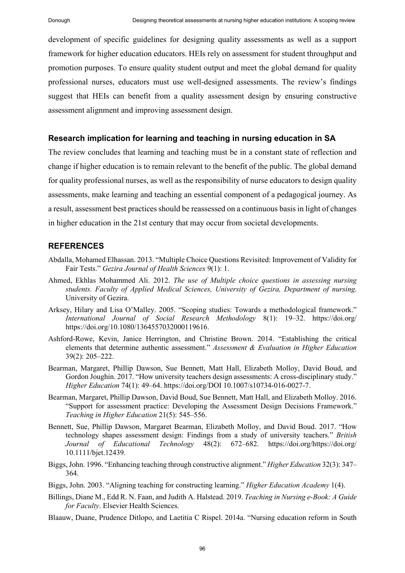development of specific guidelines for designing quality assessments as well as a support framework for higher education educators. HEIs rely on assessment for student throughput and promotion purposes. To ensure quality student output and meet the global demand for quality professional nurses, educators must use well-designed assessments. The review's findings suggest that HEIs can benefit from a quality assessment design by ensuring constructive assessment alignment and improving assessment design.

## **Research implication for learning and teaching in nursing education in SA**

The review concludes that learning and teaching must be in a constant state of reflection and change if higher education is to remain relevant to the benefit of the public. The global demand for quality professional nurses, as well as the responsibility of nurse educators to design quality assessments, make learning and teaching an essential component of a pedagogical journey. As a result, assessment best practices should be reassessed on a continuous basis in light of changes in higher education in the 21st century that may occur from societal developments.

#### **REFERENCES**

- Abdalla, Mohamed Elhassan. 2013. "Multiple Choice Questions Revisited: Improvement of Validity for Fair Tests." *Gezira Journal of Health Sciences* 9(1): 1.
- Ahmed, Ekhlas Mohammed Ali. 2012. *The use of Multiple choice questions in assessing nursing students. Faculty of Applied Medical Sciences, University of Gezira, Department of nursing*. University of Gezira.
- Arksey, Hilary and Lisa O'Malley. 2005. "Scoping studies: Towards a methodological framework." *International Journal of Social Research Methodology* 8(1): 19‒32. https://doi.org/ https://doi.org/10.1080/1364557032000119616.
- Ashford-Rowe, Kevin, Janice Herrington, and Christine Brown. 2014. "Establishing the critical elements that determine authentic assessment." *Assessment & Evaluation in Higher Education* 39(2): 205‒222.
- Bearman, Margaret, Phillip Dawson, Sue Bennett, Matt Hall, Elizabeth Molloy, David Boud, and Gordon Joughin. 2017. "How university teachers design assessments: A cross-disciplinary study." *Higher Education* 74(1): 49‒64. https://doi.org/DOI 10.1007/s10734-016-0027-7.
- Bearman, Margaret, Phillip Dawson, David Boud, Sue Bennett, Matt Hall, and Elizabeth Molloy. 2016. "Support for assessment practice: Developing the Assessment Design Decisions Framework." *Teaching in Higher Education* 21(5): 545‒556.
- Bennett, Sue, Phillip Dawson, Margaret Bearman, Elizabeth Molloy, and David Boud. 2017. "How technology shapes assessment design: Findings from a study of university teachers." *British Journal of Educational Technology* 48(2): 672‒682. https://doi.org/https://doi.org/ 10.1111/bjet.12439.
- Biggs, John. 1996. "Enhancing teaching through constructive alignment." *Higher Education* 32(3): 347– 364.
- Biggs, John. 2003. "Aligning teaching for constructing learning." *Higher Education Academy* 1(4).
- Billings, Diane M., Edd R. N. Faan, and Judith A. Halstead. 2019. *Teaching in Nursing e-Book: A Guide for Faculty*. Elsevier Health Sciences.
- Blaauw, Duane, Prudence Ditlopo, and Laetitia C Rispel. 2014a. "Nursing education reform in South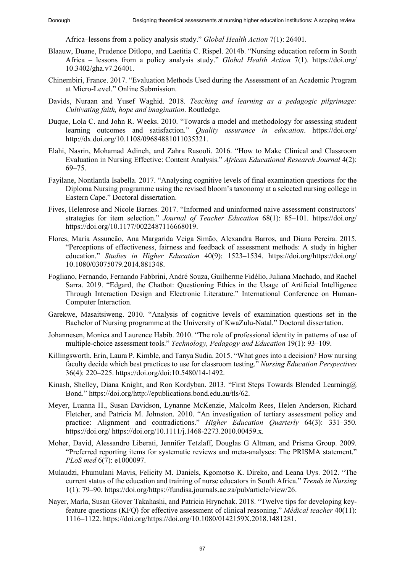Africa–lessons from a policy analysis study." *Global Health Action* 7(1): 26401.

- Blaauw, Duane, Prudence Ditlopo, and Laetitia C. Rispel. 2014b. "Nursing education reform in South Africa – lessons from a policy analysis study." *Global Health Action* 7(1). https://doi.org/ 10.3402/gha.v7.26401.
- Chinembiri, France. 2017. "Evaluation Methods Used during the Assessment of an Academic Program at Micro-Level." Online Submission.
- Davids, Nuraan and Yusef Waghid. 2018. *Teaching and learning as a pedagogic pilgrimage: Cultivating faith, hope and imagination*. Routledge.
- Duque, Lola C. and John R. Weeks. 2010. "Towards a model and methodology for assessing student learning outcomes and satisfaction." *Quality assurance in education*. https://doi.org/ http://dx.doi.org/10.1108/09684881011035321.
- Elahi, Nasrin, Mohamad Adineh, and Zahra Rasooli. 2016. "How to Make Clinical and Classroom Evaluation in Nursing Effective: Content Analysis." *African Educational Research Journal* 4(2):  $69 - 75.$
- Fayilane, Nontlantla Isabella. 2017. "Analysing cognitive levels of final examination questions for the Diploma Nursing programme using the revised bloom's taxonomy at a selected nursing college in Eastern Cape." Doctoral dissertation.
- Fives, Helenrose and Nicole Barnes. 2017. "Informed and uninformed naive assessment constructors' strategies for item selection." *Journal of Teacher Education* 68(1): 85-101. https://doi.org/ https://doi.org/10.1177/0022487116668019.
- Flores, María Assuncão, Ana Margarida Veiga Simão, Alexandra Barros, and Diana Pereira. 2015. "Perceptions of effectiveness, fairness and feedback of assessment methods: A study in higher education." *Studies in Higher Education* 40(9): 1523–1534. https://doi.org/https://doi.org/ 10.1080/03075079.2014.881348.
- Fogliano, Fernando, Fernando Fabbrini, André Souza, Guilherme Fidélio, Juliana Machado, and Rachel Sarra. 2019. "Edgard, the Chatbot: Questioning Ethics in the Usage of Artificial Intelligence Through Interaction Design and Electronic Literature." International Conference on Human-Computer Interaction.
- Garekwe, Masaitsiweng. 2010. "Analysis of cognitive levels of examination questions set in the Bachelor of Nursing programme at the University of KwaZulu-Natal." Doctoral dissertation.
- Johannesen, Monica and Laurence Habib. 2010. "The role of professional identity in patterns of use of multiple-choice assessment tools." *Technology, Pedagogy and Education* 19(1): 93–109.
- Killingsworth, Erin, Laura P. Kimble, and Tanya Sudia. 2015. "What goes into a decision? How nursing faculty decide which best practices to use for classroom testing." *Nursing Education Perspectives* 36(4): 220‒225. https://doi.org/doi:10.5480/14-1492.
- Kinash, Shelley, Diana Knight, and Ron Kordyban. 2013. "First Steps Towards Blended Learning@ Bond." https://doi.org/http://epublications.bond.edu.au/tls/62.
- Meyer, Luanna H., Susan Davidson, Lynanne McKenzie, Malcolm Rees, Helen Anderson, Richard Fletcher, and Patricia M. Johnston. 2010. "An investigation of tertiary assessment policy and practice: Alignment and contradictions." *Higher Education Quarterly* 64(3): 331–350. https://doi.org/ https://doi.org/10.1111/j.1468-2273.2010.00459.x.
- Moher, David, Alessandro Liberati, Jennifer Tetzlaff, Douglas G Altman, and Prisma Group. 2009. "Preferred reporting items for systematic reviews and meta-analyses: The PRISMA statement." *PLoS med* 6(7): e1000097.
- Mulaudzi, Fhumulani Mavis, Felicity M. Daniels, Kgomotso K. Direko, and Leana Uys. 2012. "The current status of the education and training of nurse educators in South Africa." *Trends in Nursing* 1(1): 79‒90. https://doi.org/https://fundisa.journals.ac.za/pub/article/view/26.
- Nayer, Marla, Susan Glover Takahashi, and Patricia Hrynchak. 2018. "Twelve tips for developing keyfeature questions (KFQ) for effective assessment of clinical reasoning." *Médical teacher* 40(11): 1116‒1122. https://doi.org/https://doi.org/10.1080/0142159X.2018.1481281.